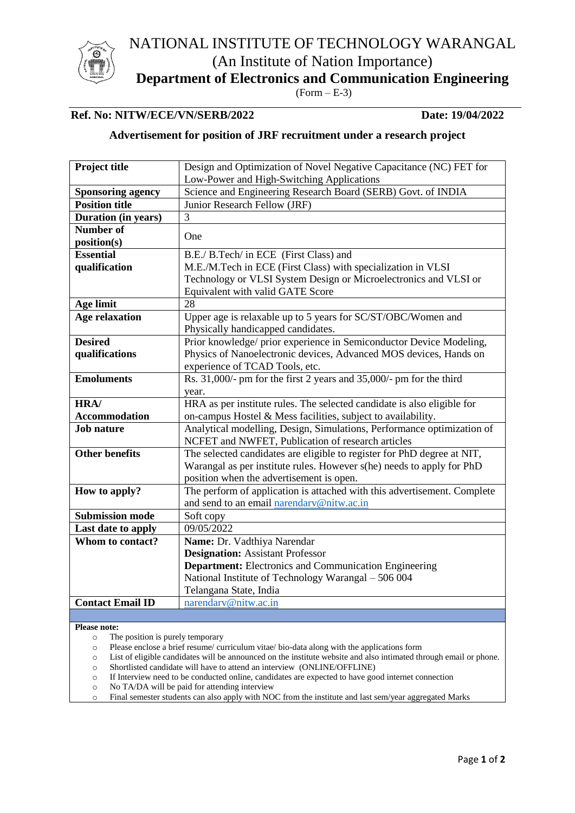

NATIONAL INSTITUTE OF TECHNOLOGY WARANGAL (An Institute of Nation Importance)

**Department of Electronics and Communication Engineering**

 $(Form - E-3)$ 

# **Ref. No: NITW/ECE/VN/SERB/2022 Date: 19/04/2022**

## **Advertisement for position of JRF recruitment under a research project**

| Project title            | Design and Optimization of Novel Negative Capacitance (NC) FET for       |  |  |
|--------------------------|--------------------------------------------------------------------------|--|--|
|                          | Low-Power and High-Switching Applications                                |  |  |
| <b>Sponsoring agency</b> | Science and Engineering Research Board (SERB) Govt. of INDIA             |  |  |
| <b>Position title</b>    | Junior Research Fellow (JRF)                                             |  |  |
| Duration (in years)      | 3                                                                        |  |  |
| <b>Number of</b>         |                                                                          |  |  |
| position(s)              | One                                                                      |  |  |
| <b>Essential</b>         | B.E./ B.Tech/ in ECE (First Class) and                                   |  |  |
| qualification            | M.E./M.Tech in ECE (First Class) with specialization in VLSI             |  |  |
|                          | Technology or VLSI System Design or Microelectronics and VLSI or         |  |  |
|                          | Equivalent with valid GATE Score                                         |  |  |
| Age limit                | 28                                                                       |  |  |
| <b>Age relaxation</b>    | Upper age is relaxable up to 5 years for SC/ST/OBC/Women and             |  |  |
|                          | Physically handicapped candidates.                                       |  |  |
| <b>Desired</b>           | Prior knowledge/ prior experience in Semiconductor Device Modeling,      |  |  |
| qualifications           | Physics of Nanoelectronic devices, Advanced MOS devices, Hands on        |  |  |
|                          | experience of TCAD Tools, etc.                                           |  |  |
| <b>Emoluments</b>        | Rs. 31,000/- pm for the first 2 years and 35,000/- pm for the third      |  |  |
|                          | year.                                                                    |  |  |
| HRA/                     | HRA as per institute rules. The selected candidate is also eligible for  |  |  |
| <b>Accommodation</b>     | on-campus Hostel & Mess facilities, subject to availability.             |  |  |
| <b>Job nature</b>        | Analytical modelling, Design, Simulations, Performance optimization of   |  |  |
|                          | NCFET and NWFET, Publication of research articles                        |  |  |
| <b>Other benefits</b>    | The selected candidates are eligible to register for PhD degree at NIT,  |  |  |
|                          | Warangal as per institute rules. However s(he) needs to apply for PhD    |  |  |
|                          | position when the advertisement is open.                                 |  |  |
| How to apply?            | The perform of application is attached with this advertisement. Complete |  |  |
|                          | and send to an email narendary@nitw.ac.in                                |  |  |
| <b>Submission mode</b>   | Soft copy                                                                |  |  |
| Last date to apply       | 09/05/2022                                                               |  |  |
| Whom to contact?         | Name: Dr. Vadthiya Narendar                                              |  |  |
|                          | <b>Designation:</b> Assistant Professor                                  |  |  |
|                          | <b>Department:</b> Electronics and Communication Engineering             |  |  |
|                          | National Institute of Technology Warangal - 506 004                      |  |  |
|                          | Telangana State, India                                                   |  |  |
| <b>Contact Email ID</b>  | narendary@nitw.ac.in                                                     |  |  |
|                          |                                                                          |  |  |

**Please note:**

- o The position is purely temporary
- o Please enclose a brief resume/ curriculum vitae/ bio-data along with the applications form
- o List of eligible candidates will be announced on the institute website and also intimated through email or phone.
- o Shortlisted candidate will have to attend an interview (ONLINE/OFFLINE)
- o If Interview need to be conducted online, candidates are expected to have good internet connection
- o No TA/DA will be paid for attending interview
- o Final semester students can also apply with NOC from the institute and last sem/year aggregated Marks